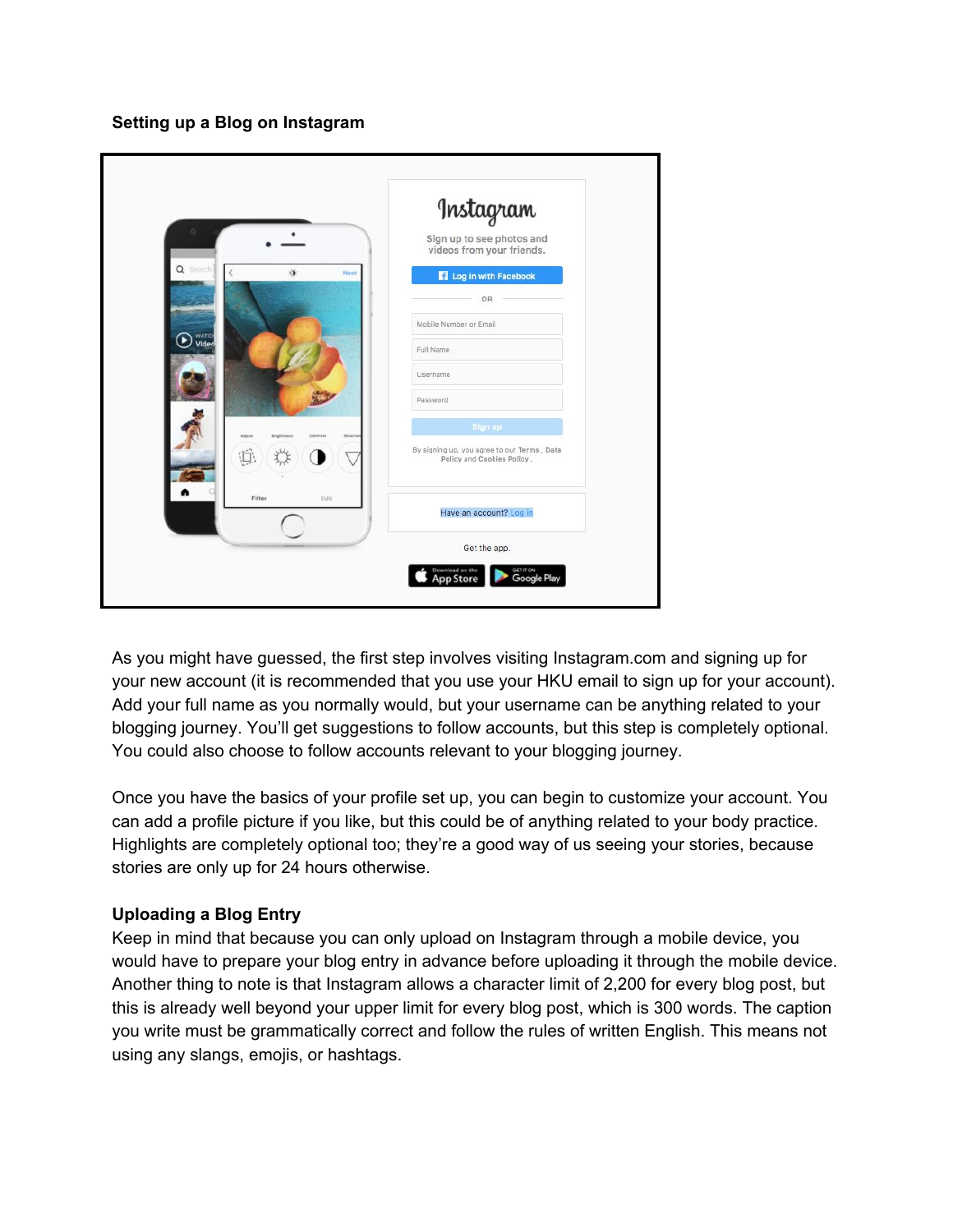**Setting up a Blog on Instagram**

|                                                                  | Instagram                                                                 |
|------------------------------------------------------------------|---------------------------------------------------------------------------|
|                                                                  | Sign up to see photos and<br>videos from your friends.                    |
| Q Search<br>湴<br>Next                                            | Log in with Facebook                                                      |
|                                                                  | OR                                                                        |
|                                                                  | Mobile Number or Email                                                    |
| <b>D</b> WATCH                                                   | Full Name                                                                 |
|                                                                  | Username                                                                  |
|                                                                  | Password                                                                  |
| Adamt<br><b><i><u>Rrightness</u></i></b><br>Contrast<br>Skriatta | Sign up                                                                   |
| 位                                                                | By signing up, you agree to our Terms, Data<br>Policy and Cookies Policy. |
| Edit<br>Filter                                                   | Have an account? Log in                                                   |
|                                                                  | Get the app.                                                              |

As you might have guessed, the first step involves visiting Instagram.com and signing up for your new account (it is recommended that you use your HKU email to sign up for your account). Add your full name as you normally would, but your username can be anything related to your blogging journey. You'll get suggestions to follow accounts, but this step is completely optional. You could also choose to follow accounts relevant to your blogging journey.

Once you have the basics of your profile set up, you can begin to customize your account. You can add a profile picture if you like, but this could be of anything related to your body practice. Highlights are completely optional too; they're a good way of us seeing your stories, because stories are only up for 24 hours otherwise.

## **Uploading a Blog Entry**

Keep in mind that because you can only upload on Instagram through a mobile device, you would have to prepare your blog entry in advance before uploading it through the mobile device. Another thing to note is that Instagram allows a character limit of 2,200 for every blog post, but this is already well beyond your upper limit for every blog post, which is 300 words. The caption you write must be grammatically correct and follow the rules of written English. This means not using any slangs, emojis, or hashtags.